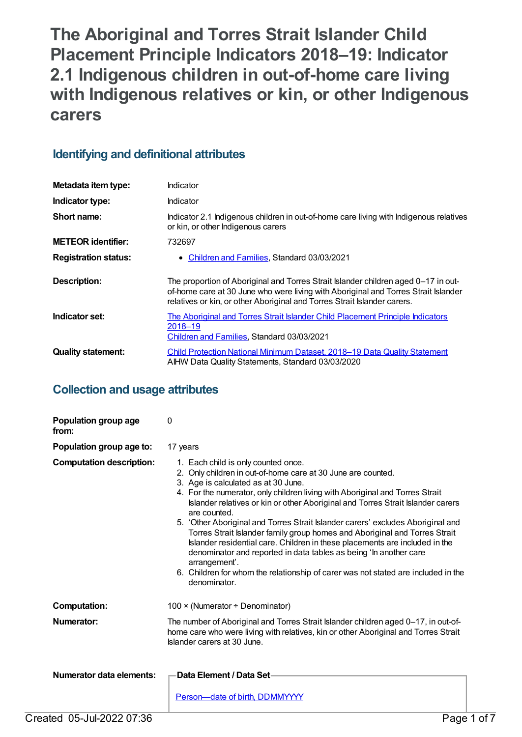**The Aboriginal and Torres Strait Islander Child Placement Principle Indicators 2018–19: Indicator 2.1 Indigenous children in out-of-home care living with Indigenous relatives or kin, or other Indigenous carers**

# **Identifying and definitional attributes**

| Metadata item type:         | Indicator                                                                                                                                                                                                                                            |
|-----------------------------|------------------------------------------------------------------------------------------------------------------------------------------------------------------------------------------------------------------------------------------------------|
| Indicator type:             | Indicator                                                                                                                                                                                                                                            |
| Short name:                 | Indicator 2.1 Indigenous children in out-of-home care living with Indigenous relatives<br>or kin, or other Indigenous carers                                                                                                                         |
| <b>METEOR identifier:</b>   | 732697                                                                                                                                                                                                                                               |
| <b>Registration status:</b> | • Children and Families, Standard 03/03/2021                                                                                                                                                                                                         |
| <b>Description:</b>         | The proportion of Aboriginal and Torres Strait Islander children aged 0-17 in out-<br>of-home care at 30 June who were living with Aboriginal and Torres Strait Islander<br>relatives or kin, or other Aboriginal and Torres Strait Islander carers. |
| Indicator set:              | The Aboriginal and Torres Strait Islander Child Placement Principle Indicators<br>$2018 - 19$<br>Children and Families, Standard 03/03/2021                                                                                                          |
| <b>Quality statement:</b>   | Child Protection National Minimum Dataset, 2018-19 Data Quality Statement<br>AIHW Data Quality Statements, Standard 03/03/2020                                                                                                                       |

# **Collection and usage attributes**

| Population group age<br>from:   | 0                                                                                                                                                                                                                                                                                                                                                                                                                                                                                                                                                                                                                                                                                                                                                                        |
|---------------------------------|--------------------------------------------------------------------------------------------------------------------------------------------------------------------------------------------------------------------------------------------------------------------------------------------------------------------------------------------------------------------------------------------------------------------------------------------------------------------------------------------------------------------------------------------------------------------------------------------------------------------------------------------------------------------------------------------------------------------------------------------------------------------------|
| Population group age to:        | 17 years                                                                                                                                                                                                                                                                                                                                                                                                                                                                                                                                                                                                                                                                                                                                                                 |
| <b>Computation description:</b> | 1. Each child is only counted once.<br>2. Only children in out-of-home care at 30 June are counted.<br>3. Age is calculated as at 30 June.<br>4. For the numerator, only children living with Aboriginal and Torres Strait<br>Islander relatives or kin or other Aboriginal and Torres Strait Islander carers<br>are counted.<br>5. 'Other Aboriginal and Torres Strait Islander carers' excludes Aboriginal and<br>Torres Strait Islander family group homes and Aboriginal and Torres Strait<br>Islander residential care. Children in these placements are included in the<br>denominator and reported in data tables as being 'In another care<br>arrangement'.<br>6. Children for whom the relationship of carer was not stated are included in the<br>denominator. |
| <b>Computation:</b>             | 100 $\times$ (Numerator ÷ Denominator)                                                                                                                                                                                                                                                                                                                                                                                                                                                                                                                                                                                                                                                                                                                                   |
| Numerator:                      | The number of Aboriginal and Torres Strait Islander children aged 0-17, in out-of-<br>home care who were living with relatives, kin or other Aboriginal and Torres Strait<br>Islander carers at 30 June.                                                                                                                                                                                                                                                                                                                                                                                                                                                                                                                                                                 |
| <b>Numerator data elements:</b> | Data Element / Data Set-<br>Person-date of birth, DDMMYYYY                                                                                                                                                                                                                                                                                                                                                                                                                                                                                                                                                                                                                                                                                                               |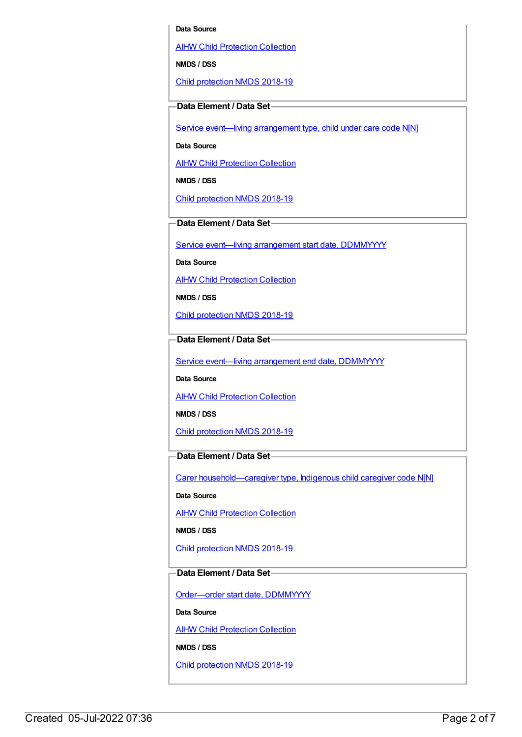#### **Data Source**

AIHW Child [Protection](https://meteor.aihw.gov.au/content/489543) Collection

**NMDS / DSS**

Child [protection](https://meteor.aihw.gov.au/content/726951) NMDS 2018-19

### **Data Element / Data Set**

Service event-living [arrangement](https://meteor.aihw.gov.au/content/689331) type, child under care code N[N]

**Data Source**

AIHW Child [Protection](https://meteor.aihw.gov.au/content/489543) Collection

**NMDS / DSS**

Child [protection](https://meteor.aihw.gov.au/content/726951) NMDS 2018-19

**Data Element / Data Set**

Service event—living [arrangement](https://meteor.aihw.gov.au/content/474217) start date, DDMMYYYY

**Data Source**

**AIHW Child [Protection](https://meteor.aihw.gov.au/content/489543) Collection** 

**NMDS / DSS**

Child [protection](https://meteor.aihw.gov.au/content/726951) NMDS 2018-19

## **Data Element / Data Set**

Service event-living [arrangement](https://meteor.aihw.gov.au/content/474223) end date, DDMMYYYY

**Data Source**

**AIHW Child [Protection](https://meteor.aihw.gov.au/content/489543) Collection** 

**NMDS / DSS**

Child [protection](https://meteor.aihw.gov.au/content/726951) NMDS 2018-19

## **Data Element / Data Set**

Carer [household—caregiver](https://meteor.aihw.gov.au/content/524944) type, Indigenous child caregiver code N[N]

**Data Source**

AIHW Child [Protection](https://meteor.aihw.gov.au/content/489543) Collection

**NMDS / DSS**

Child [protection](https://meteor.aihw.gov.au/content/726951) NMDS 2018-19

## **Data Element / Data Set**

[Order—order](https://meteor.aihw.gov.au/content/536550) start date, DDMMYYYY

**Data Source**

**AIHW Child [Protection](https://meteor.aihw.gov.au/content/489543) Collection** 

**NMDS / DSS**

Child [protection](https://meteor.aihw.gov.au/content/726951) NMDS 2018-19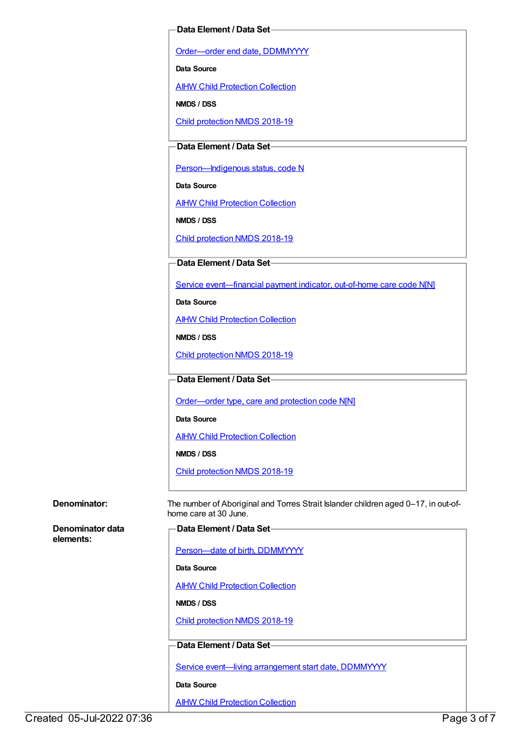### **Data Element / Data Set**

[Order—order](https://meteor.aihw.gov.au/content/536554) end date, DDMMYYYY

**Data Source**

AIHW Child [Protection](https://meteor.aihw.gov.au/content/489543) Collection

**NMDS / DSS**

Child [protection](https://meteor.aihw.gov.au/content/726951) NMDS 2018-19

### **Data Element / Data Set**

Person-Indigenous status, code N

**Data Source**

**AIHW Child [Protection](https://meteor.aihw.gov.au/content/489543) Collection** 

**NMDS / DSS**

Child [protection](https://meteor.aihw.gov.au/content/726951) NMDS 2018-19

### **Data Element / Data Set**

Service [event—financial](https://meteor.aihw.gov.au/content/652697) payment indicator, out-of-home care code N[N]

**Data Source**

**AIHW Child [Protection](https://meteor.aihw.gov.au/content/489543) Collection** 

**NMDS / DSS**

Child [protection](https://meteor.aihw.gov.au/content/726951) NMDS 2018-19

**Data Element / Data Set**

[Order—order](https://meteor.aihw.gov.au/content/657300) type, care and protection code N[N]

**Data Source**

**AIHW Child [Protection](https://meteor.aihw.gov.au/content/489543) Collection** 

**NMDS / DSS**

Child [protection](https://meteor.aihw.gov.au/content/726951) NMDS 2018-19

**Denominator:** The number of Aboriginal and Torres Strait Islander children aged 0–17, in out-ofhome care at 30 June.

**Denominator data elements:**

| -Data Element / Data Set- |
|---------------------------|
|---------------------------|

[Person—date](https://meteor.aihw.gov.au/content/287007) of birth, DDMMYYYY

**Data Source**

**AIHW Child [Protection](https://meteor.aihw.gov.au/content/489543) Collection** 

**NMDS / DSS**

Child [protection](https://meteor.aihw.gov.au/content/726951) NMDS 2018-19

### **Data Element / Data Set**

Service event-living [arrangement](https://meteor.aihw.gov.au/content/474217) start date, DDMMYYYY

**Data Source**

**AIHW Child [Protection](https://meteor.aihw.gov.au/content/489543) Collection**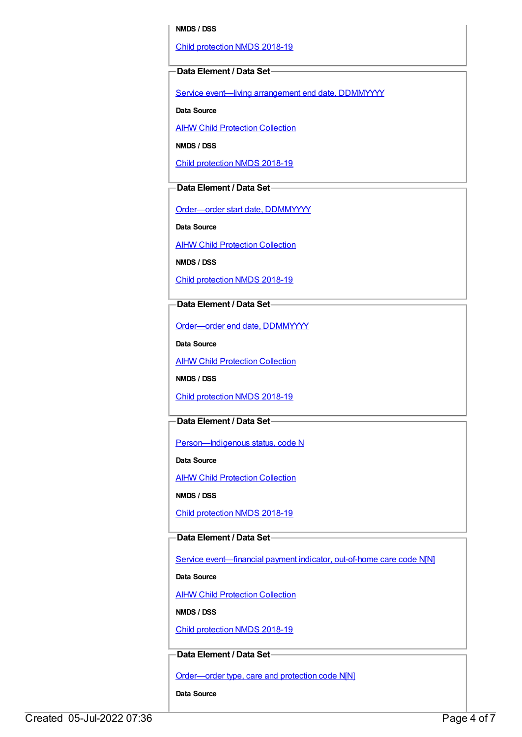#### **NMDS / DSS**

Child [protection](https://meteor.aihw.gov.au/content/726951) NMDS 2018-19

#### **Data Element / Data Set**

Service event—living [arrangement](https://meteor.aihw.gov.au/content/474223) end date, DDMMYYYY

**Data Source**

**AIHW Child [Protection](https://meteor.aihw.gov.au/content/489543) Collection** 

**NMDS / DSS**

Child [protection](https://meteor.aihw.gov.au/content/726951) NMDS 2018-19

## **Data Element / Data Set**

[Order—order](https://meteor.aihw.gov.au/content/536550) start date, DDMMYYYY

**Data Source**

AIHW Child [Protection](https://meteor.aihw.gov.au/content/489543) Collection

**NMDS / DSS**

Child [protection](https://meteor.aihw.gov.au/content/726951) NMDS 2018-19

## **Data Element / Data Set**

[Order—order](https://meteor.aihw.gov.au/content/536554) end date, DDMMYYYY

**Data Source**

**AIHW Child [Protection](https://meteor.aihw.gov.au/content/489543) Collection** 

**NMDS / DSS**

Child [protection](https://meteor.aihw.gov.au/content/726951) NMDS 2018-19

### **Data Element / Data Set**

Person-Indigenous status, code N

**Data Source**

**AIHW Child [Protection](https://meteor.aihw.gov.au/content/489543) Collection** 

**NMDS / DSS**

Child [protection](https://meteor.aihw.gov.au/content/726951) NMDS 2018-19

### **Data Element / Data Set**

Service event-financial payment indicator, out-of-home care code N[N]

**Data Source**

AIHW Child [Protection](https://meteor.aihw.gov.au/content/489543) Collection

**NMDS / DSS**

Child [protection](https://meteor.aihw.gov.au/content/726951) NMDS 2018-19

### **Data Element / Data Set**

[Order—order](https://meteor.aihw.gov.au/content/657300) type, care and protection code N[N]

**Data Source**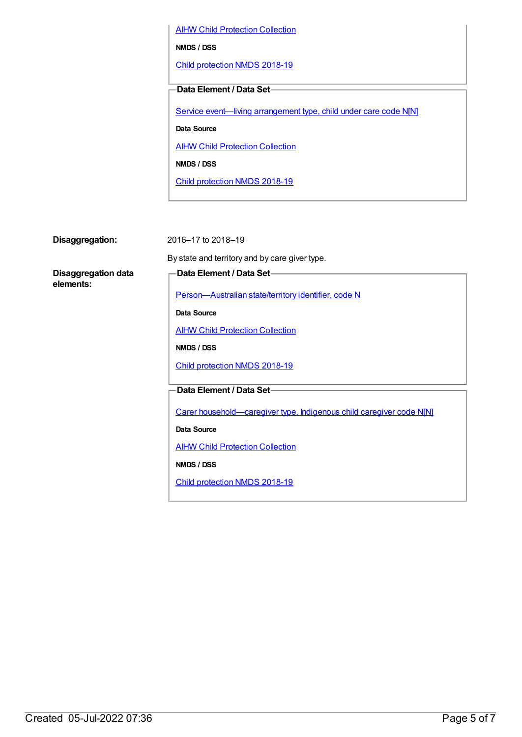**AIHW Child [Protection](https://meteor.aihw.gov.au/content/489543) Collection** 

**NMDS / DSS**

Child [protection](https://meteor.aihw.gov.au/content/726951) NMDS 2018-19

**Data Element / Data Set**

Service event—living [arrangement](https://meteor.aihw.gov.au/content/689331) type, child under care code N[N]

**Data Source**

**AIHW Child [Protection](https://meteor.aihw.gov.au/content/489543) Collection** 

**NMDS / DSS**

Child [protection](https://meteor.aihw.gov.au/content/726951) NMDS 2018-19

**Disaggregation:** 2016–17 to 2018–19

By state and territory and by care giver type.

**Disaggregation data elements:**

**Data Element / Data Set**

[Person—Australian](https://meteor.aihw.gov.au/content/286919) state/territory identifier, code N

**Data Source**

**AIHW Child [Protection](https://meteor.aihw.gov.au/content/489543) Collection** 

**NMDS / DSS**

Child [protection](https://meteor.aihw.gov.au/content/726951) NMDS 2018-19

**Data Element / Data Set**

Carer [household—caregiver](https://meteor.aihw.gov.au/content/524944) type, Indigenous child caregiver code N[N]

**Data Source**

AIHW Child [Protection](https://meteor.aihw.gov.au/content/489543) Collection

**NMDS / DSS**

Child [protection](https://meteor.aihw.gov.au/content/726951) NMDS 2018-19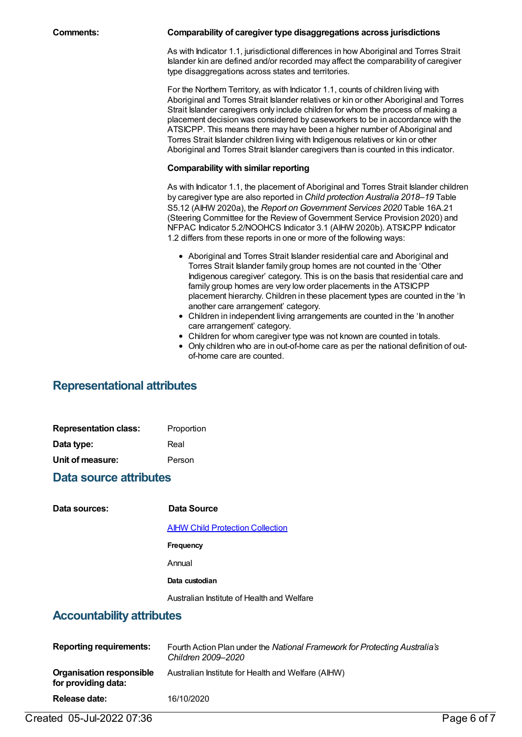| <b>Comments:</b> |  |
|------------------|--|
|------------------|--|

#### **Comments: Comparability of caregiver type disaggregations across jurisdictions**

As with Indicator 1.1, jurisdictional differences in how Aboriginal and Torres Strait Islander kin are defined and/or recorded may affect the comparability of caregiver type disaggregations across states and territories.

For the Northern Territory, as with Indicator 1.1, counts of children living with Aboriginal and Torres Strait Islander relatives or kin or other Aboriginal and Torres Strait Islander caregivers only include children for whom the process of making a placement decision was considered by caseworkers to be in accordance with the ATSICPP. This means there may have been a higher number of Aboriginal and Torres Strait Islander children living with Indigenous relatives or kin or other Aboriginal and Torres Strait Islander caregivers than is counted in this indicator.

### **Comparability with similar reporting**

As with Indicator 1.1, the placement of Aboriginal and Torres Strait Islander children by caregiver type are also reported in *Child protection Australia 2018–19* Table S5.12 (AIHW 2020a), the *Report on Government Services 2020* Table 16A.21 (Steering Committee for the Review of Government Service Provision 2020) and NFPAC Indicator 5.2/NOOHCS Indicator 3.1 (AIHW 2020b). ATSICPP Indicator 1.2 differs from these reports in one or more of the following ways:

- Aboriginal and Torres Strait Islander residential care and Aboriginal and Torres Strait Islander family group homes are not counted in the 'Other Indigenous caregiver' category. This is on the basis that residential care and family group homes are very low order placements in the ATSICPP placement hierarchy. Children in these placement types are counted in the 'In another care arrangement' category.
- Children in independent living arrangements are counted in the 'In another care arrangement' category.
- Children for whom caregiver type was not known are counted in totals.
- Only children who are in out-of-home care as per the national definition of outof-home care are counted.

## **Representational attributes**

| <b>Representation class:</b> | Proportion |
|------------------------------|------------|
| Data type:                   | Real       |
| Unit of measure:             | Person     |

## **Data source attributes**

#### **Data Source**

AIHW Child [Protection](https://meteor.aihw.gov.au/content/489543) Collection

**Frequency**

Annual

#### **Data custodian**

Australian Institute of Health and Welfare

## **Accountability attributes**

| <b>Reporting requirements:</b>                  | Fourth Action Plan under the National Framework for Protecting Australia's<br>Children 2009–2020 |
|-------------------------------------------------|--------------------------------------------------------------------------------------------------|
| Organisation responsible<br>for providing data: | Australian Institute for Health and Welfare (AIHW)                                               |
| Release date:                                   | 16/10/2020                                                                                       |